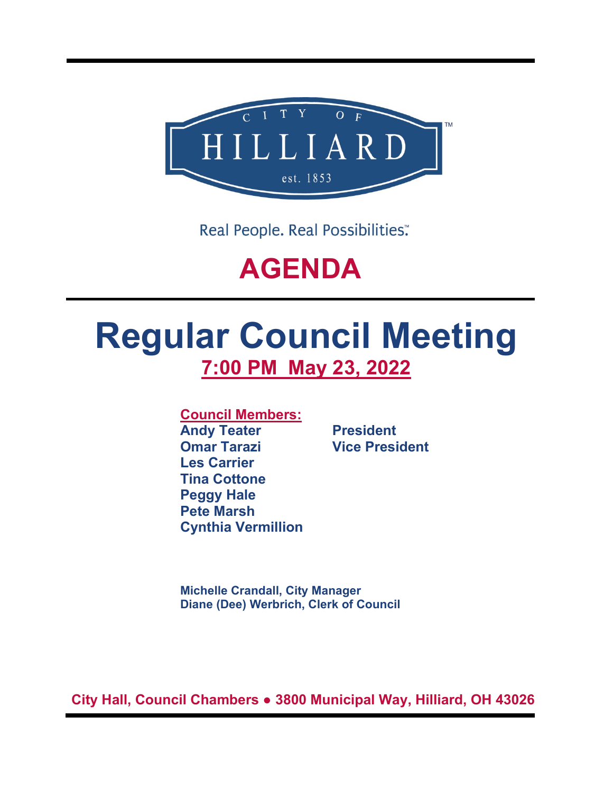

Real People. Real Possibilities:

## **AGENDA**

# **Regular Council Meeting 7:00 PM May 23, 2022**

**Council Members:**

**Andy Teater President Omar Tarazi Vice President Les Carrier Tina Cottone Peggy Hale Pete Marsh Cynthia Vermillion**

**Michelle Crandall, City Manager Diane (Dee) Werbrich, Clerk of Council**

**City Hall, Council Chambers ● 3800 Municipal Way, Hilliard, OH 43026**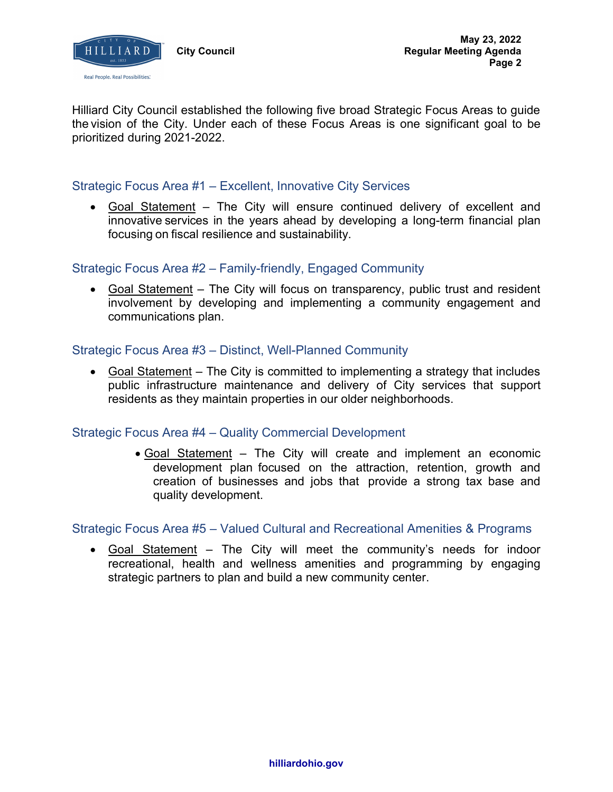

Hilliard City Council established the following five broad Strategic Focus Areas to guide the vision of the City. Under each of these Focus Areas is one significant goal to be prioritized during 2021-2022.

## Strategic Focus Area #1 – Excellent, Innovative City Services

• Goal Statement – The City will ensure continued delivery of excellent and innovative services in the years ahead by developing a long-term financial plan focusing on fiscal resilience and sustainability.

## Strategic Focus Area #2 – Family-friendly, Engaged Community

• Goal Statement – The City will focus on transparency, public trust and resident involvement by developing and implementing a community engagement and communications plan.

## Strategic Focus Area #3 – Distinct, Well-Planned Community

• Goal Statement – The City is committed to implementing a strategy that includes public infrastructure maintenance and delivery of City services that support residents as they maintain properties in our older neighborhoods.

## Strategic Focus Area #4 – Quality Commercial Development

• Goal Statement – The City will create and implement an economic development plan focused on the attraction, retention, growth and creation of businesses and jobs that provide a strong tax base and quality development.

## Strategic Focus Area #5 – Valued Cultural and Recreational Amenities & Programs

• Goal Statement – The City will meet the community's needs for indoor recreational, health and wellness amenities and programming by engaging strategic partners to plan and build a new community center.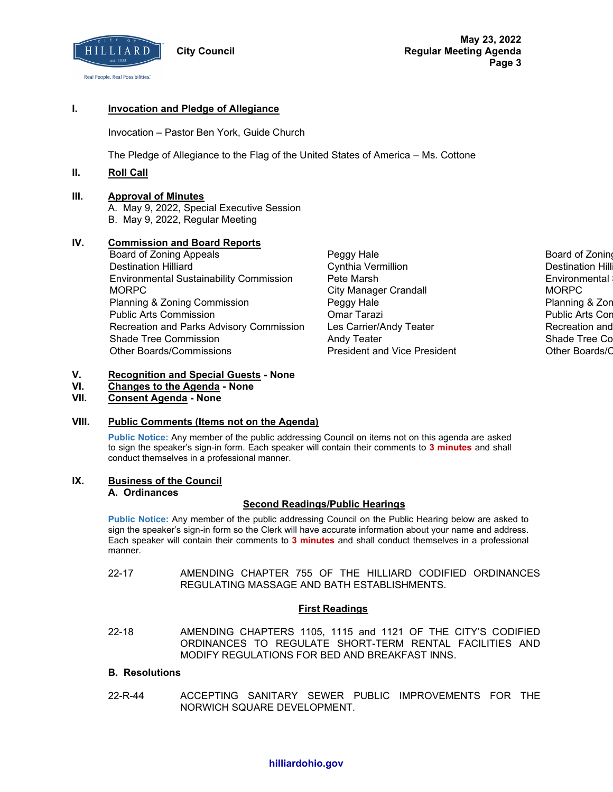

**May 23, 2022 Regular Meeting Agenda Page 3**

#### **I. Invocation and Pledge of Allegiance**

Invocation – Pastor Ben York, Guide Church

The Pledge of Allegiance to the Flag of the United States of America – Ms. Cottone

#### **II. Roll Call**

#### **III. Approval of Minutes**

A. May 9, 2022, Special Executive Session B. May 9, 2022, Regular Meeting

#### **IV. Commission and Board Reports**

- Board of Zoning Appeals **Peggy Hale Board of Zoning Appeals** Peggy Hale **Board of Zoning Appeals** Destination Hilliard Cynthia Vermillion Destination Hilliard Environmental Sustainability Commission Pete Marsh Environmental Sustainability Commission MORPC City Manager Crandall MORPC Planning & Zoning Commission **Peggy Hale Providence Commission** Peggy Hale Planning Commission Peggy Hale Public Arts Commission Omar Tarazi Public Arts Commission Recreation and Parks Advisory Commission Les Carrier/Andy Teater **Recreation and Recreation and** Shade Tree Commission **Andy Teater Shade Tree Commission** Andy Teater Shade Tree Commission Other Boards/Commissions President and Vice President Other Boards/Commissions
	-

#### **V. Recognition and Special Guests - None**

- **VI. Changes to the Agenda - None**
- **VII. Consent Agenda - None**

#### **VIII. Public Comments (Items not on the Agenda)**

**Public Notice:** Any member of the public addressing Council on items not on this agenda are asked to sign the speaker's sign-in form. Each speaker will contain their comments to **3 minutes** and shall conduct themselves in a professional manner.

#### **IX. Business of the Council**

#### **A. Ordinances**

#### **Second Readings/Public Hearings**

**Public Notice:** Any member of the public addressing Council on the Public Hearing below are asked to sign the speaker's sign-in form so the Clerk will have accurate information about your name and address. Each speaker will contain their comments to **3 minutes** and shall conduct themselves in a professional manner.

22-17 AMENDING CHAPTER 755 OF THE HILLIARD CODIFIED ORDINANCES REGULATING MASSAGE AND BATH ESTABLISHMENTS.

#### **First Readings**

22-18 AMENDING CHAPTERS 1105, 1115 and 1121 OF THE CITY'S CODIFIED ORDINANCES TO REGULATE SHORT-TERM RENTAL FACILITIES AND MODIFY REGULATIONS FOR BED AND BREAKFAST INNS.

#### **B. Resolutions**

22-R-44 ACCEPTING SANITARY SEWER PUBLIC IMPROVEMENTS FOR THE NORWICH SQUARE DEVELOPMENT.

#### **hilliardohio.gov**